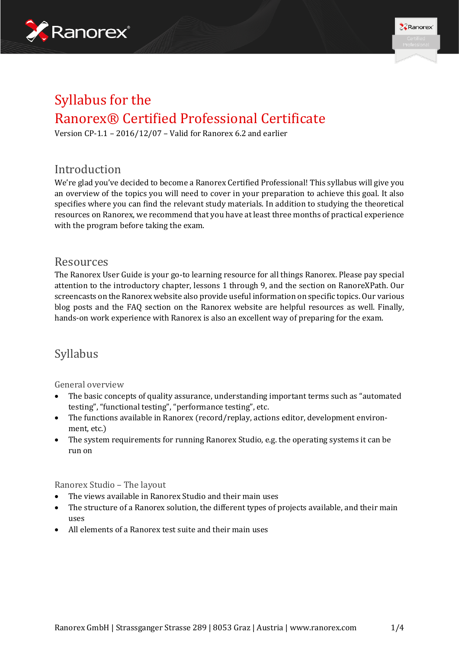



# Syllabus for the Ranorex® Certified Professional Certificate

Version CP-1.1 – 2016/12/07 – Valid for Ranorex 6.2 and earlier

### Introduction

We're glad you've decided to become a Ranorex Certified Professional! This syllabus will give you an overview of the topics you will need to cover in your preparation to achieve this goal. It also specifies where you can find the relevant study materials. In addition to studying the theoretical resources on Ranorex, we recommend that you have at least three months of practical experience with the program before taking the exam.

### Resources

The Ranorex User Guide is your go-to learning resource for all things Ranorex. Please pay special attention to the introductory chapter, lessons 1 through 9, and the section on RanoreXPath. Our screencasts on the Ranorex website also provide useful information on specific topics. Our various blog posts and the FAQ section on the Ranorex website are helpful resources as well. Finally, hands-on work experience with Ranorex is also an excellent way of preparing for the exam.

## Syllabus

#### General overview

- The basic concepts of quality assurance, understanding important terms such as "automated testing", "functional testing", "performance testing", etc.
- The functions available in Ranorex (record/replay, actions editor, development environment, etc.)
- The system requirements for running Ranorex Studio, e.g. the operating systems it can be run on

Ranorex Studio – The layout

- The views available in Ranorex Studio and their main uses
- The structure of a Ranorex solution, the different types of projects available, and their main uses
- All elements of a Ranorex test suite and their main uses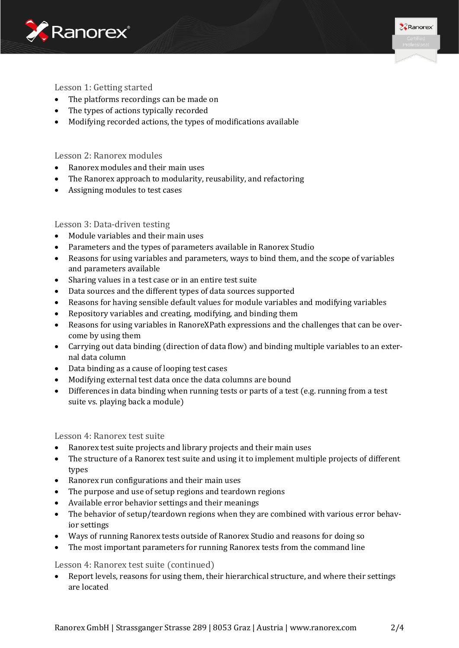



#### Lesson 1: Getting started

- The platforms recordings can be made on
- The types of actions typically recorded
- Modifying recorded actions, the types of modifications available

#### Lesson 2: Ranorex modules

- Ranorex modules and their main uses
- The Ranorex approach to modularity, reusability, and refactoring
- Assigning modules to test cases

#### Lesson 3: Data-driven testing

- Module variables and their main uses
- Parameters and the types of parameters available in Ranorex Studio
- Reasons for using variables and parameters, ways to bind them, and the scope of variables and parameters available
- Sharing values in a test case or in an entire test suite
- Data sources and the different types of data sources supported
- Reasons for having sensible default values for module variables and modifying variables
- Repository variables and creating, modifying, and binding them
- Reasons for using variables in RanoreXPath expressions and the challenges that can be overcome by using them
- Carrying out data binding (direction of data flow) and binding multiple variables to an external data column
- Data binding as a cause of looping test cases
- Modifying external test data once the data columns are bound
- Differences in data binding when running tests or parts of a test (e.g. running from a test suite vs. playing back a module)

#### Lesson 4: Ranorex test suite

- Ranorex test suite projects and library projects and their main uses
- The structure of a Ranorex test suite and using it to implement multiple projects of different types
- Ranorex run configurations and their main uses
- The purpose and use of setup regions and teardown regions
- Available error behavior settings and their meanings
- The behavior of setup/teardown regions when they are combined with various error behavior settings
- Ways of running Ranorex tests outside of Ranorex Studio and reasons for doing so
- The most important parameters for running Ranorex tests from the command line

#### Lesson 4: Ranorex test suite (continued)

• Report levels, reasons for using them, their hierarchical structure, and where their settings are located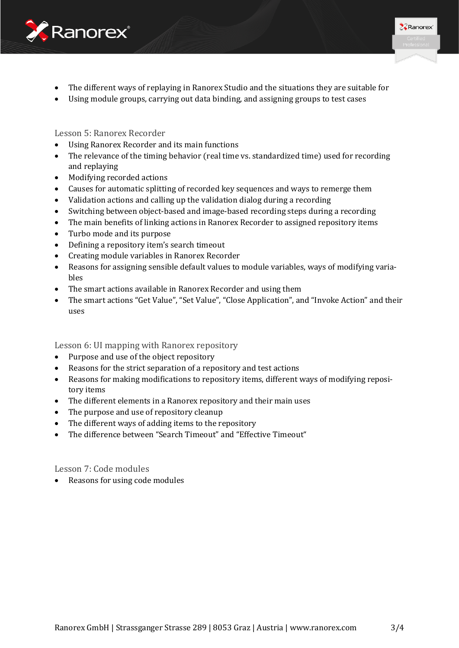



- The different ways of replaying in Ranorex Studio and the situations they are suitable for
- Using module groups, carrying out data binding, and assigning groups to test cases

Lesson 5: Ranorex Recorder

- Using Ranorex Recorder and its main functions
- The relevance of the timing behavior (real time vs. standardized time) used for recording and replaying
- Modifying recorded actions
- Causes for automatic splitting of recorded key sequences and ways to remerge them
- Validation actions and calling up the validation dialog during a recording
- Switching between object-based and image-based recording steps during a recording
- The main benefits of linking actions in Ranorex Recorder to assigned repository items
- Turbo mode and its purpose
- Defining a repository item's search timeout
- Creating module variables in Ranorex Recorder
- Reasons for assigning sensible default values to module variables, ways of modifying variables
- The smart actions available in Ranorex Recorder and using them
- The smart actions "Get Value", "Set Value", "Close Application", and "Invoke Action" and their uses

Lesson 6: UI mapping with Ranorex repository

- Purpose and use of the object repository
- Reasons for the strict separation of a repository and test actions
- Reasons for making modifications to repository items, different ways of modifying repository items
- The different elements in a Ranorex repository and their main uses
- The purpose and use of repository cleanup
- The different ways of adding items to the repository
- The difference between "Search Timeout" and "Effective Timeout"

Lesson 7: Code modules

• Reasons for using code modules